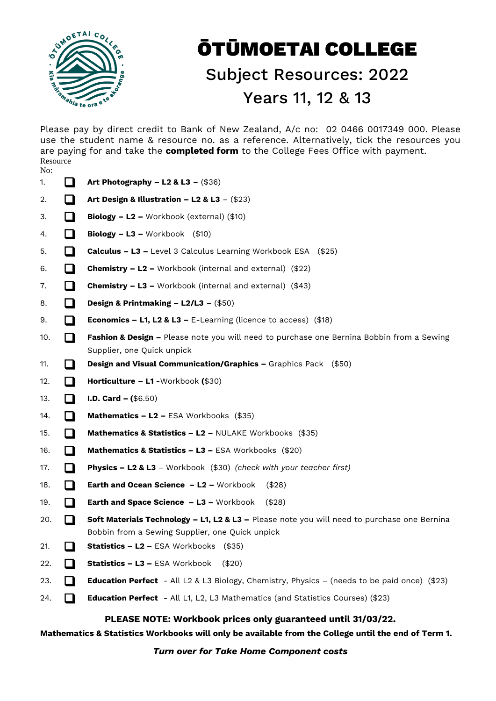

## ŌTŪMOETAI COLLEGE Subject Resources: 2022 Years 11, 12 & 13

Please pay by direct credit to Bank of New Zealand, A/c no: 02 0466 0017349 000. Please use the student name & resource no. as a reference. Alternatively, tick the resources you are paying for and take the **completed form** to the College Fees Office with payment. Resource  $N_{\Omega}$ 

| 110. |     |                                                                                                                                                |
|------|-----|------------------------------------------------------------------------------------------------------------------------------------------------|
| 1.   | l 1 | Art Photography - L2 & L3 - $(\$36)$                                                                                                           |
| 2.   | l 1 | Art Design & Illustration - L2 & L3 - $(\$23)$                                                                                                 |
| 3.   |     | Biology - L2 - Workbook (external) (\$10)                                                                                                      |
| 4.   | l 1 | <b>Biology - L3 -</b> Workbook $(\$10)$                                                                                                        |
| 5.   | l 1 | <b>Calculus - L3 -</b> Level 3 Calculus Learning Workbook ESA (\$25)                                                                           |
| 6.   | ப   | <b>Chemistry - L2 -</b> Workbook (internal and external) (\$22)                                                                                |
| 7.   | ப   | <b>Chemistry - L3 -</b> Workbook (internal and external) $(\$43)$                                                                              |
| 8.   | l 1 | Design & Printmaking - $L2/L3 - (150)$                                                                                                         |
| 9.   | l 1 | <b>Economics - L1, L2 &amp; L3 - E-Learning (licence to access)</b> (\$18)                                                                     |
| 10.  | l 1 | Fashion & Design - Please note you will need to purchase one Bernina Bobbin from a Sewing<br>Supplier, one Quick unpick                        |
| 11.  |     | Design and Visual Communication/Graphics - Graphics Pack (\$50)                                                                                |
| 12.  | l 1 | Horticulture - L1 - Workbook (\$30)                                                                                                            |
| 13.  | l 1 | <b>I.D. Card - <math>(\$6.50)</math></b>                                                                                                       |
| 14.  | l I | <b>Mathematics – L2 –</b> ESA Workbooks $(\$35)$                                                                                               |
| 15.  | l 1 | Mathematics & Statistics - L2 - NULAKE Workbooks (\$35)                                                                                        |
| 16.  | - 1 | Mathematics & Statistics - L3 - ESA Workbooks (\$20)                                                                                           |
| 17.  | l I | Physics - L2 & L3 - Workbook (\$30) (check with your teacher first)                                                                            |
| 18.  |     | <b>Earth and Ocean Science - L2 - Workbook</b><br>(\$28)                                                                                       |
| 19.  |     | Earth and Space Science - L3 - Workbook<br>(\$28)                                                                                              |
| 20.  | l 1 | Soft Materials Technology - L1, L2 & L3 - Please note you will need to purchase one Bernina<br>Bobbin from a Sewing Supplier, one Quick unpick |
| 21.  | l 1 | Statistics - L2 - ESA Workbooks (\$35)                                                                                                         |
| 22.  | l 1 | <b>Statistics – L3 –</b> ESA Workbook<br>(S20)                                                                                                 |
| 23.  | I.  | <b>Education Perfect</b> - All L2 & L3 Biology, Chemistry, Physics - (needs to be paid once) $(\$23)$                                          |
| 24.  | H   | <b>Education Perfect</b> - All L1, L2, L3 Mathematics (and Statistics Courses) (\$23)                                                          |

## **PLEASE NOTE: Workbook prices only guaranteed until 31/03/22.**

**Mathematics & Statistics Workbooks will only be available from the College until the end of Term 1.**

*Turn over for Take Home Component costs*